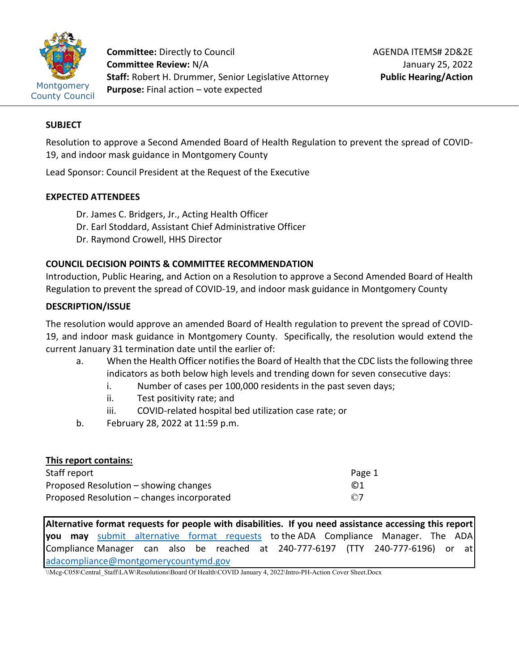

**Committee:** Directly to Council **Committee Review:** N/A **Staff:** Robert H. Drummer, Senior Legislative Attorney **Purpose:** Final action – vote expected

### **SUBJECT**

Resolution to approve a Second Amended Board of Health Regulation to prevent the spread of COVID-19, and indoor mask guidance in Montgomery County

Lead Sponsor: Council President at the Request of the Executive

### **EXPECTED ATTENDEES**

- Dr. James C. Bridgers, Jr., Acting Health Officer
- Dr. Earl Stoddard, Assistant Chief Administrative Officer
- Dr. Raymond Crowell, HHS Director

#### **COUNCIL DECISION POINTS & COMMITTEE RECOMMENDATION**

Introduction, Public Hearing, and Action on a Resolution to approve a Second Amended Board of Health Regulation to prevent the spread of COVID-19, and indoor mask guidance in Montgomery County

#### **DESCRIPTION/ISSUE**

The resolution would approve an amended Board of Health regulation to prevent the spread of COVID-19, and indoor mask guidance in Montgomery County. Specifically, the resolution would extend the current January 31 termination date until the earlier of:

- a. When the Health Officer notifies the Board of Health that the CDC lists the following three indicators as both below high levels and trending down for seven consecutive days:
	- i. Number of cases per 100,000 residents in the past seven days;
	- ii. Test positivity rate; and
	- iii. COVID-related hospital bed utilization case rate; or
- b. February 28, 2022 at 11:59 p.m.

| This report contains:                      |           |
|--------------------------------------------|-----------|
| Staff report                               | Page 1    |
| Proposed Resolution – showing changes      | $\odot$ 1 |
| Proposed Resolution – changes incorporated | $\odot$ 7 |

**Alternative format requests for people with disabilities. If you need assistance accessing this report you may** [submit alternative format requests](https://gcc01.safelinks.protection.outlook.com/?url=http%3A%2F%2Fwww2.montgomerycountymd.gov%2Fmcgportalapps%2FAccessibilityForm.aspx&data=02%7C01%7Csandra.marin%40montgomerycountymd.gov%7C79d44e803a8846df027008d6ad4e4d1b%7C6e01b1f9b1e54073ac97778069a0ad64%7C0%7C0%7C636886950086244453&sdata=AT2lwLz22SWBJ8c92gXfspY8lQVeGCrUbqSPzpYheB0%3D&reserved=0) to the ADA Compliance Manager. The ADA Compliance Manager can also be reached at 240-777-6197 (TTY 240-777-6196) or at [adacompliance@montgomerycountymd.gov](mailto:adacompliance@montgomerycountymd.gov)

\\Mcg-C058\Central\_Staff\LAW\Resolutions\Board Of Health\COVID January 4, 2022\Intro-PH-Action Cover Sheet.Docx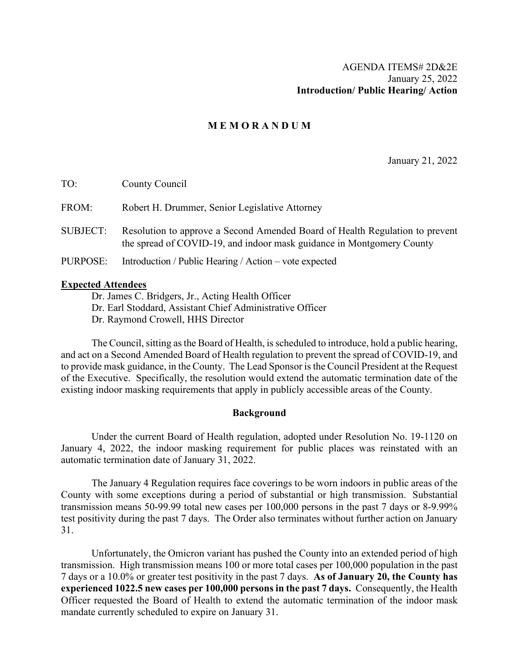### **M E M O R A N D U M**

January 21, 2022

| TO:             | County Council                                                                                                                                        |
|-----------------|-------------------------------------------------------------------------------------------------------------------------------------------------------|
| FROM:           | Robert H. Drummer, Senior Legislative Attorney                                                                                                        |
| <b>SUBJECT:</b> | Resolution to approve a Second Amended Board of Health Regulation to prevent<br>the spread of COVID-19, and indoor mask guidance in Montgomery County |
| PURPOSE:        | Introduction / Public Hearing / Action – vote expected                                                                                                |
|                 |                                                                                                                                                       |

#### **Expected Attendees**

Dr. James C. Bridgers, Jr., Acting Health Officer

Dr. Earl Stoddard, Assistant Chief Administrative Officer

Dr. Raymond Crowell, HHS Director

The Council, sitting as the Board of Health, is scheduled to introduce, hold a public hearing, and act on a Second Amended Board of Health regulation to prevent the spread of COVID-19, and to provide mask guidance, in the County. The Lead Sponsor is the Council President at the Request of the Executive. Specifically, the resolution would extend the automatic termination date of the existing indoor masking requirements that apply in publicly accessible areas of the County.

#### **Background**

Under the current Board of Health regulation, adopted under Resolution No. 19-1120 on January 4, 2022, the indoor masking requirement for public places was reinstated with an automatic termination date of January 31, 2022.

The January 4 Regulation requires face coverings to be worn indoors in public areas of the County with some exceptions during a period of substantial or high transmission. Substantial transmission means 50-99.99 total new cases per 100,000 persons in the past 7 days or 8-9.99% test positivity during the past 7 days. The Order also terminates without further action on January 31.

Unfortunately, the Omicron variant has pushed the County into an extended period of high transmission. High transmission means 100 or more total cases per 100,000 population in the past 7 days or a 10.0% or greater test positivity in the past 7 days. **As of January 20, the County has experienced 1022.5 new cases per 100,000 persons in the past 7 days.** Consequently, the Health Officer requested the Board of Health to extend the automatic termination of the indoor mask mandate currently scheduled to expire on January 31.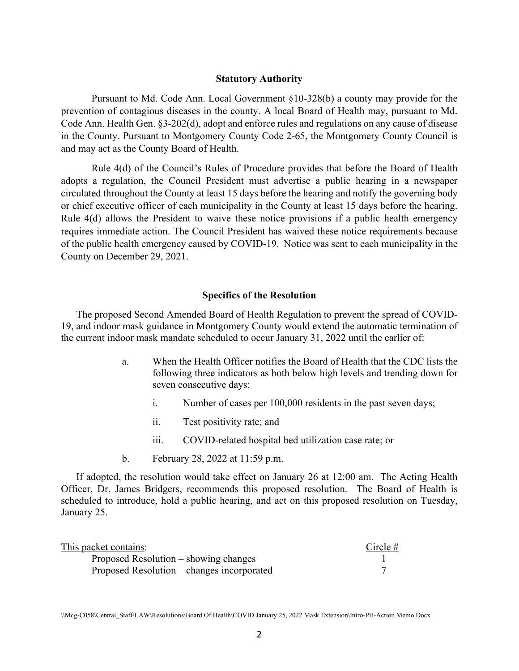#### **Statutory Authority**

Pursuant to Md. Code Ann. Local Government §10-328(b) a county may provide for the prevention of contagious diseases in the county. A local Board of Health may, pursuant to Md. Code Ann. Health Gen. §3-202(d), adopt and enforce rules and regulations on any cause of disease in the County. Pursuant to Montgomery County Code 2-65, the Montgomery County Council is and may act as the County Board of Health.

Rule 4(d) of the Council's Rules of Procedure provides that before the Board of Health adopts a regulation, the Council President must advertise a public hearing in a newspaper circulated throughout the County at least 15 days before the hearing and notify the governing body or chief executive officer of each municipality in the County at least 15 days before the hearing. Rule 4(d) allows the President to waive these notice provisions if a public health emergency requires immediate action. The Council President has waived these notice requirements because of the public health emergency caused by COVID-19. Notice was sent to each municipality in the County on December 29, 2021.

#### **Specifics of the Resolution**

The proposed Second Amended Board of Health Regulation to prevent the spread of COVID-19, and indoor mask guidance in Montgomery County would extend the automatic termination of the current indoor mask mandate scheduled to occur January 31, 2022 until the earlier of:

- a. When the Health Officer notifies the Board of Health that the CDC lists the following three indicators as both below high levels and trending down for seven consecutive days:
	- i. Number of cases per 100,000 residents in the past seven days;
	- ii. Test positivity rate; and
	- iii. COVID-related hospital bed utilization case rate; or
- b. February 28, 2022 at 11:59 p.m.

If adopted, the resolution would take effect on January 26 at 12:00 am. The Acting Health Officer, Dr. James Bridgers, recommends this proposed resolution. The Board of Health is scheduled to introduce, hold a public hearing, and act on this proposed resolution on Tuesday, January 25.

| This packet contains:                      | Circle $#$ |
|--------------------------------------------|------------|
| Proposed Resolution – showing changes      |            |
| Proposed Resolution – changes incorporated |            |

<sup>\\</sup>Mcg-C058\Central\_Staff\LAW\Resolutions\Board Of Health\COVID January 25, 2022 Mask Extension\Intro-PH-Action Memo.Docx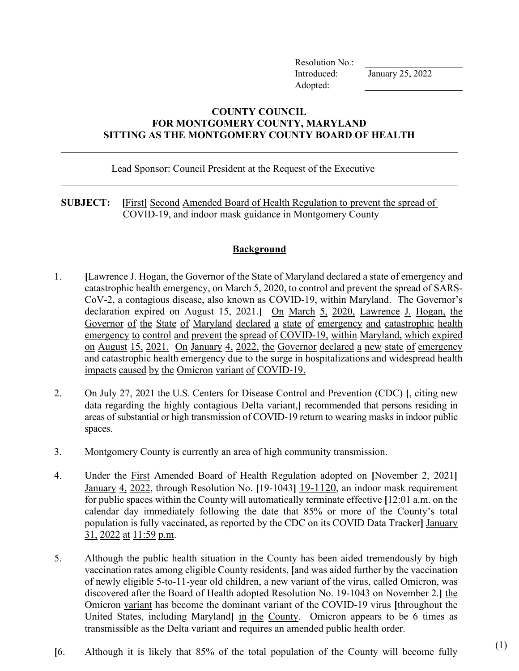Resolution No.: Introduced: January 25, 2022 Adopted:

## **COUNTY COUNCIL FOR MONTGOMERY COUNTY, MARYLAND SITTING AS THE MONTGOMERY COUNTY BOARD OF HEALTH**

### Lead Sponsor: Council President at the Request of the Executive

## **SUBJECT: [**First**]** Second Amended Board of Health Regulation to prevent the spread of COVID-19, and indoor mask guidance in Montgomery County

# **Background**

- 1. **[**Lawrence J. Hogan, the Governor of the State of Maryland declared a state of emergency and catastrophic health emergency, on March 5, 2020, to control and prevent the spread of SARS-CoV-2, a contagious disease, also known as COVID-19, within Maryland. The Governor's declaration expired on August 15, 2021.**]** On March 5, 2020, Lawrence J. Hogan, the Governor of the State of Maryland declared a state of emergency and catastrophic health emergency to control and prevent the spread of COVID-19, within Maryland, which expired on August 15, 2021. On January 4, 2022, the Governor declared a new state of emergency and catastrophic health emergency due to the surge in hospitalizations and widespread health impacts caused by the Omicron variant of COVID-19.
- 2. On July 27, 2021 the U.S. Centers for Disease Control and Prevention (CDC) **[**, citing new data regarding the highly contagious Delta variant,**]** recommended that persons residing in areas of substantial or high transmission of COVID-19 return to wearing masks in indoor public spaces.
- 3. Montgomery County is currently an area of high community transmission.
- 4. Under the First Amended Board of Health Regulation adopted on **[**November 2, 2021**]** January 4, 2022, through Resolution No. **[**19-1043**]** 19-1120, an indoor mask requirement for public spaces within the County will automatically terminate effective **[**12:01 a.m. on the calendar day immediately following the date that 85% or more of the County's total population is fully vaccinated, as reported by the CDC on its COVID Data Tracker**]** January 31, 2022 at 11:59 p.m.
- 5. Although the public health situation in the County has been aided tremendously by high vaccination rates among eligible County residents, **[**and was aided further by the vaccination of newly eligible 5-to-11-year old children, a new variant of the virus, called Omicron, was discovered after the Board of Health adopted Resolution No. 19-1043 on November 2.**]** the Omicron variant has become the dominant variant of the COVID-19 virus **[**throughout the United States, including Maryland**]** in the County. Omicron appears to be 6 times as transmissible as the Delta variant and requires an amended public health order.
- **[**6. Although it is likely that 85% of the total population of the County will become fully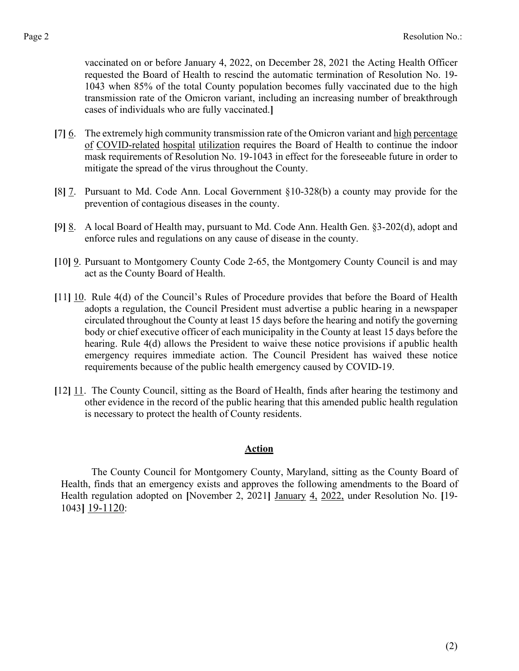vaccinated on or before January 4, 2022, on December 28, 2021 the Acting Health Officer requested the Board of Health to rescind the automatic termination of Resolution No. 19- 1043 when 85% of the total County population becomes fully vaccinated due to the high transmission rate of the Omicron variant, including an increasing number of breakthrough cases of individuals who are fully vaccinated.**]**

- **[**7**]** 6. The extremely high community transmission rate of the Omicron variant and high percentage of COVID-related hospital utilization requires the Board of Health to continue the indoor mask requirements of Resolution No. 19-1043 in effect for the foreseeable future in order to mitigate the spread of the virus throughout the County.
- **[**8**]** 7. Pursuant to Md. Code Ann. Local Government §10-328(b) a county may provide for the prevention of contagious diseases in the county.
- **[**9**]** 8. A local Board of Health may, pursuant to Md. Code Ann. Health Gen. §3-202(d), adopt and enforce rules and regulations on any cause of disease in the county.
- **[**10**]** 9. Pursuant to Montgomery County Code 2-65, the Montgomery County Council is and may act as the County Board of Health.
- **[**11**]** 10. Rule 4(d) of the Council's Rules of Procedure provides that before the Board of Health adopts a regulation, the Council President must advertise a public hearing in a newspaper circulated throughout the County at least 15 days before the hearing and notify the governing body or chief executive officer of each municipality in the County at least 15 days before the hearing. Rule 4(d) allows the President to waive these notice provisions if a public health emergency requires immediate action. The Council President has waived these notice requirements because of the public health emergency caused by COVID-19.
- **[**12**]** 11. The County Council, sitting as the Board of Health, finds after hearing the testimony and other evidence in the record of the public hearing that this amended public health regulation is necessary to protect the health of County residents.

#### **Action**

The County Council for Montgomery County, Maryland, sitting as the County Board of Health, finds that an emergency exists and approves the following amendments to the Board of Health regulation adopted on **[**November 2, 2021**]** January 4, 2022, under Resolution No. **[**19- 1043**]** 19-1120: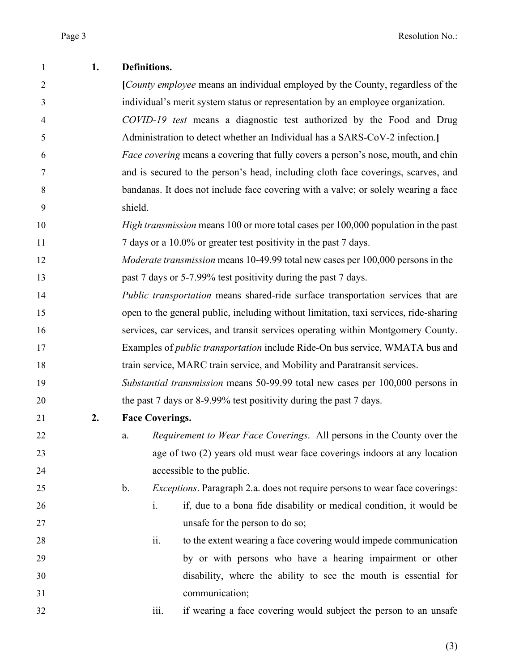| 1              | 1. | Definitions.                                                                                         |  |  |
|----------------|----|------------------------------------------------------------------------------------------------------|--|--|
| $\overline{2}$ |    | [County employee means an individual employed by the County, regardless of the                       |  |  |
| 3              |    | individual's merit system status or representation by an employee organization.                      |  |  |
| 4              |    | COVID-19 test means a diagnostic test authorized by the Food and Drug                                |  |  |
| 5              |    | Administration to detect whether an Individual has a SARS-CoV-2 infection.                           |  |  |
| 6              |    | <i>Face covering</i> means a covering that fully covers a person's nose, mouth, and chin             |  |  |
| 7              |    | and is secured to the person's head, including cloth face coverings, scarves, and                    |  |  |
| 8              |    | bandanas. It does not include face covering with a valve; or solely wearing a face                   |  |  |
| 9              |    | shield.                                                                                              |  |  |
| 10             |    | <i>High transmission</i> means 100 or more total cases per 100,000 population in the past            |  |  |
| 11             |    | 7 days or a 10.0% or greater test positivity in the past 7 days.                                     |  |  |
| 12             |    | <i>Moderate transmission</i> means 10-49.99 total new cases per 100,000 persons in the               |  |  |
| 13             |    | past 7 days or 5-7.99% test positivity during the past 7 days.                                       |  |  |
| 14             |    | <i>Public transportation</i> means shared-ride surface transportation services that are              |  |  |
| 15             |    | open to the general public, including without limitation, taxi services, ride-sharing                |  |  |
| 16             |    | services, car services, and transit services operating within Montgomery County.                     |  |  |
| 17             |    | Examples of <i>public transportation</i> include Ride-On bus service, WMATA bus and                  |  |  |
| 18             |    | train service, MARC train service, and Mobility and Paratransit services.                            |  |  |
| 19             |    | Substantial transmission means 50-99.99 total new cases per 100,000 persons in                       |  |  |
| 20             |    | the past 7 days or 8-9.99% test positivity during the past 7 days.                                   |  |  |
| 21             | 2. | <b>Face Coverings.</b>                                                                               |  |  |
| 22             |    | Requirement to Wear Face Coverings. All persons in the County over the<br>a.                         |  |  |
| 23             |    | age of two (2) years old must wear face coverings indoors at any location                            |  |  |
| 24             |    | accessible to the public.                                                                            |  |  |
| 25             |    | <i>Exceptions</i> . Paragraph 2.a. does not require persons to wear face coverings:<br>$\mathbf b$ . |  |  |
| 26             |    | if, due to a bona fide disability or medical condition, it would be<br>$\mathbf{i}$ .                |  |  |
| 27             |    | unsafe for the person to do so;                                                                      |  |  |
| 28             |    | ii.<br>to the extent wearing a face covering would impede communication                              |  |  |
| 29             |    | by or with persons who have a hearing impairment or other                                            |  |  |
| 30             |    | disability, where the ability to see the mouth is essential for                                      |  |  |
| 31             |    | communication;                                                                                       |  |  |
| 32             |    | if wearing a face covering would subject the person to an unsafe<br>iii.                             |  |  |

(3)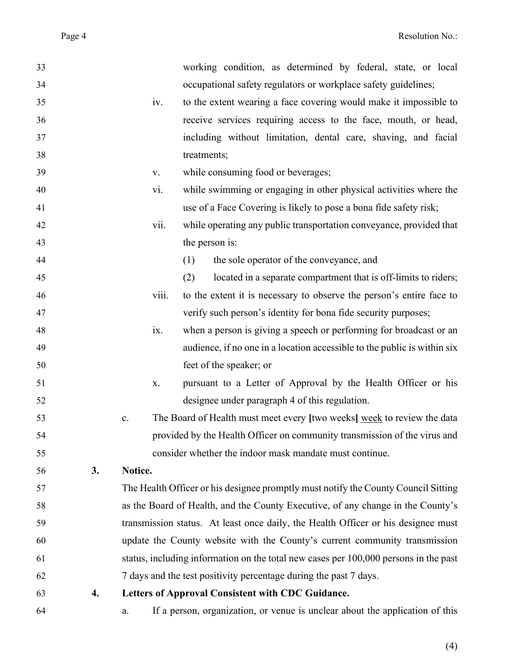| 33 |    |         | working condition, as determined by federal, state, or local                         |
|----|----|---------|--------------------------------------------------------------------------------------|
| 34 |    |         | occupational safety regulators or workplace safety guidelines;                       |
| 35 |    | iv.     | to the extent wearing a face covering would make it impossible to                    |
| 36 |    |         | receive services requiring access to the face, mouth, or head,                       |
| 37 |    |         | including without limitation, dental care, shaving, and facial                       |
| 38 |    |         | treatments;                                                                          |
| 39 |    | V.      | while consuming food or beverages;                                                   |
| 40 |    | vi.     | while swimming or engaging in other physical activities where the                    |
| 41 |    |         | use of a Face Covering is likely to pose a bona fide safety risk;                    |
| 42 |    | vii.    | while operating any public transportation conveyance, provided that                  |
| 43 |    |         | the person is:                                                                       |
| 44 |    |         | the sole operator of the conveyance, and<br>(1)                                      |
| 45 |    |         | (2)<br>located in a separate compartment that is off-limits to riders;               |
| 46 |    | viii.   | to the extent it is necessary to observe the person's entire face to                 |
| 47 |    |         | verify such person's identity for bona fide security purposes;                       |
| 48 |    | ix.     | when a person is giving a speech or performing for broadcast or an                   |
| 49 |    |         | audience, if no one in a location accessible to the public is within six             |
| 50 |    |         | feet of the speaker; or                                                              |
| 51 |    | X.      | pursuant to a Letter of Approval by the Health Officer or his                        |
| 52 |    |         | designee under paragraph 4 of this regulation.                                       |
| 53 |    | c.      | The Board of Health must meet every [two weeks] week to review the data              |
| 54 |    |         | provided by the Health Officer on community transmission of the virus and            |
| 55 |    |         | consider whether the indoor mask mandate must continue.                              |
| 56 | 3. | Notice. |                                                                                      |
| 57 |    |         | The Health Officer or his designee promptly must notify the County Council Sitting   |
| 58 |    |         | as the Board of Health, and the County Executive, of any change in the County's      |
| 59 |    |         | transmission status. At least once daily, the Health Officer or his designee must    |
| 60 |    |         | update the County website with the County's current community transmission           |
| 61 |    |         | status, including information on the total new cases per 100,000 persons in the past |
| 62 |    |         | 7 days and the test positivity percentage during the past 7 days.                    |
| 63 | 4. |         | Letters of Approval Consistent with CDC Guidance.                                    |
| 64 |    | a.      | If a person, organization, or venue is unclear about the application of this         |

(4)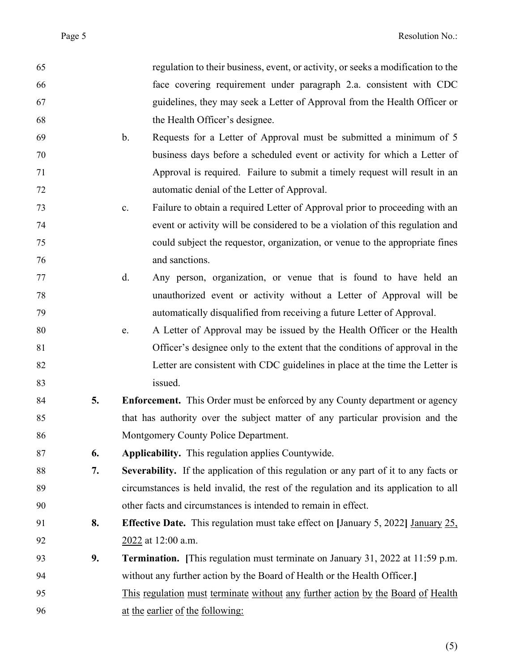| 65 |    | regulation to their business, event, or activity, or seeks a modification to the            |
|----|----|---------------------------------------------------------------------------------------------|
| 66 |    | face covering requirement under paragraph 2.a. consistent with CDC                          |
| 67 |    | guidelines, they may seek a Letter of Approval from the Health Officer or                   |
| 68 |    | the Health Officer's designee.                                                              |
| 69 |    | Requests for a Letter of Approval must be submitted a minimum of 5<br>$\mathbf b$ .         |
| 70 |    | business days before a scheduled event or activity for which a Letter of                    |
| 71 |    | Approval is required. Failure to submit a timely request will result in an                  |
| 72 |    | automatic denial of the Letter of Approval.                                                 |
| 73 |    | Failure to obtain a required Letter of Approval prior to proceeding with an<br>c.           |
| 74 |    | event or activity will be considered to be a violation of this regulation and               |
| 75 |    | could subject the requestor, organization, or venue to the appropriate fines                |
| 76 |    | and sanctions.                                                                              |
| 77 |    | d.<br>Any person, organization, or venue that is found to have held an                      |
| 78 |    | unauthorized event or activity without a Letter of Approval will be                         |
| 79 |    | automatically disqualified from receiving a future Letter of Approval.                      |
| 80 |    | A Letter of Approval may be issued by the Health Officer or the Health<br>e.                |
| 81 |    | Officer's designee only to the extent that the conditions of approval in the                |
| 82 |    | Letter are consistent with CDC guidelines in place at the time the Letter is                |
| 83 |    | issued.                                                                                     |
| 84 | 5. | <b>Enforcement.</b> This Order must be enforced by any County department or agency          |
| 85 |    | that has authority over the subject matter of any particular provision and the              |
| 86 |    | Montgomery County Police Department.                                                        |
| 87 | 6. | Applicability. This regulation applies Countywide.                                          |
| 88 | 7. | Severability. If the application of this regulation or any part of it to any facts or       |
| 89 |    | circumstances is held invalid, the rest of the regulation and its application to all        |
| 90 |    | other facts and circumstances is intended to remain in effect.                              |
| 91 | 8. | <b>Effective Date.</b> This regulation must take effect on [January 5, 2022] January $25$ , |
| 92 |    | 2022 at 12:00 a.m.                                                                          |
| 93 | 9. | <b>Termination.</b> [This regulation must terminate on January 31, 2022 at 11:59 p.m.       |
| 94 |    | without any further action by the Board of Health or the Health Officer.]                   |
| 95 |    | This regulation must terminate without any further action by the Board of Health            |
| 96 |    | at the earlier of the following:                                                            |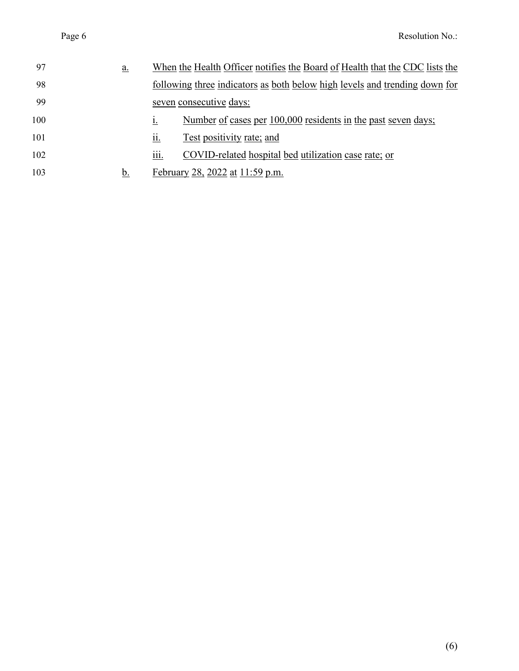| 97  | <u>a.</u> |                  | When the Health Officer notifies the Board of Health that the CDC lists the |
|-----|-----------|------------------|-----------------------------------------------------------------------------|
| 98  |           |                  | following three indicators as both below high levels and trending down for  |
| 99  |           |                  | seven consecutive days:                                                     |
| 100 |           | 1.               | Number of cases per 100,000 residents in the past seven days;               |
| 101 |           | <u>ii.</u>       | Test positivity rate; and                                                   |
| 102 |           | $\cdots$<br>111. | COVID-related hospital bed utilization case rate; or                        |
| 103 | <u>b.</u> |                  | February 28, 2022 at 11:59 p.m.                                             |
|     |           |                  |                                                                             |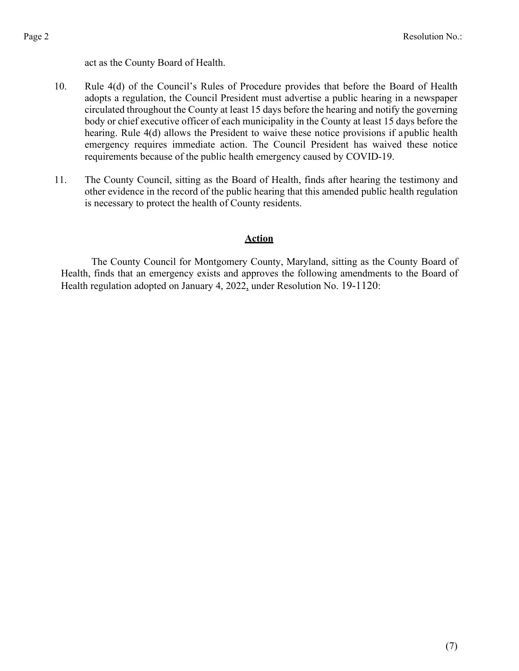act as the County Board of Health.

- 10. Rule 4(d) of the Council's Rules of Procedure provides that before the Board of Health adopts a regulation, the Council President must advertise a public hearing in a newspaper circulated throughout the County at least 15 days before the hearing and notify the governing body or chief executive officer of each municipality in the County at least 15 days before the hearing. Rule 4(d) allows the President to waive these notice provisions if a public health emergency requires immediate action. The Council President has waived these notice requirements because of the public health emergency caused by COVID-19.
- 11. The County Council, sitting as the Board of Health, finds after hearing the testimony and other evidence in the record of the public hearing that this amended public health regulation is necessary to protect the health of County residents.

## **Action**

The County Council for Montgomery County, Maryland, sitting as the County Board of Health, finds that an emergency exists and approves the following amendments to the Board of Health regulation adopted on January 4, 2022, under Resolution No. 19-1120: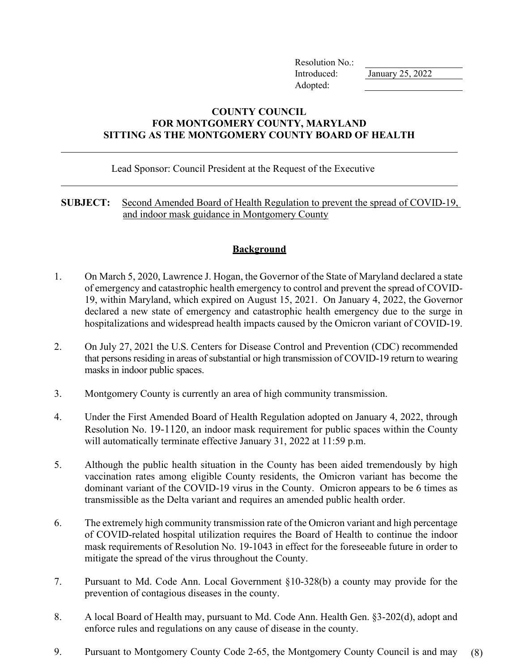Resolution No.: Introduced: January 25, 2022 Adopted:

## **COUNTY COUNCIL FOR MONTGOMERY COUNTY, MARYLAND SITTING AS THE MONTGOMERY COUNTY BOARD OF HEALTH**

#### Lead Sponsor: Council President at the Request of the Executive

### **SUBJECT:** Second Amended Board of Health Regulation to prevent the spread of COVID-19, and indoor mask guidance in Montgomery County

# **Background**

- 1. On March 5, 2020, Lawrence J. Hogan, the Governor of the State of Maryland declared a state of emergency and catastrophic health emergency to control and prevent the spread of COVID-19, within Maryland, which expired on August 15, 2021. On January 4, 2022, the Governor declared a new state of emergency and catastrophic health emergency due to the surge in hospitalizations and widespread health impacts caused by the Omicron variant of COVID-19.
- 2. On July 27, 2021 the U.S. Centers for Disease Control and Prevention (CDC) recommended that persons residing in areas of substantial or high transmission of COVID-19 return to wearing masks in indoor public spaces.
- 3. Montgomery County is currently an area of high community transmission.
- 4. Under the First Amended Board of Health Regulation adopted on January 4, 2022, through Resolution No. 19-1120, an indoor mask requirement for public spaces within the County will automatically terminate effective January 31, 2022 at 11:59 p.m.
- 5. Although the public health situation in the County has been aided tremendously by high vaccination rates among eligible County residents, the Omicron variant has become the dominant variant of the COVID-19 virus in the County. Omicron appears to be 6 times as transmissible as the Delta variant and requires an amended public health order.
- 6. The extremely high community transmission rate of the Omicron variant and high percentage of COVID-related hospital utilization requires the Board of Health to continue the indoor mask requirements of Resolution No. 19-1043 in effect for the foreseeable future in order to mitigate the spread of the virus throughout the County.
- 7. Pursuant to Md. Code Ann. Local Government §10-328(b) a county may provide for the prevention of contagious diseases in the county.
- 8. A local Board of Health may, pursuant to Md. Code Ann. Health Gen. §3-202(d), adopt and enforce rules and regulations on any cause of disease in the county.
- 9. Pursuant to Montgomery County Code 2-65, the Montgomery County Council is and may (8)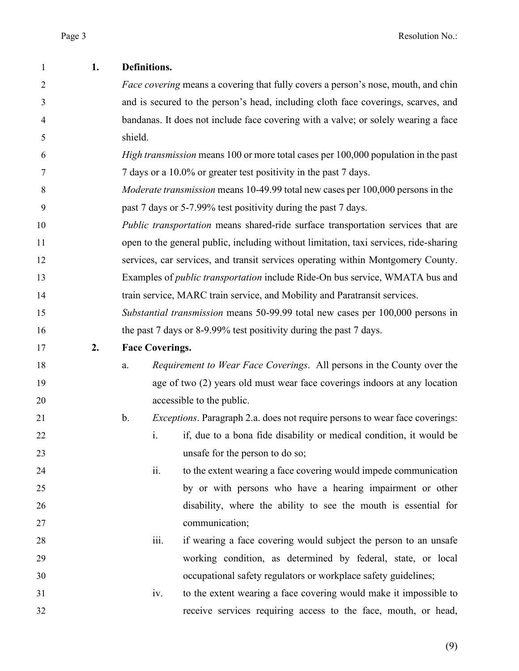| 1              | 1. | Definitions.                                                                             |                                                                                           |  |
|----------------|----|------------------------------------------------------------------------------------------|-------------------------------------------------------------------------------------------|--|
| $\overline{2}$ |    | <i>Face covering</i> means a covering that fully covers a person's nose, mouth, and chin |                                                                                           |  |
| 3              |    | and is secured to the person's head, including cloth face coverings, scarves, and        |                                                                                           |  |
| 4              |    | bandanas. It does not include face covering with a valve; or solely wearing a face       |                                                                                           |  |
| 5              |    | shield.                                                                                  |                                                                                           |  |
| 6              |    |                                                                                          | <i>High transmission</i> means 100 or more total cases per 100,000 population in the past |  |
| 7              |    |                                                                                          | 7 days or a 10.0% or greater test positivity in the past 7 days.                          |  |
| 8              |    |                                                                                          | <i>Moderate transmission</i> means 10-49.99 total new cases per 100,000 persons in the    |  |
| 9              |    |                                                                                          | past 7 days or 5-7.99% test positivity during the past 7 days.                            |  |
| 10             |    |                                                                                          | Public transportation means shared-ride surface transportation services that are          |  |
| 11             |    |                                                                                          | open to the general public, including without limitation, taxi services, ride-sharing     |  |
| 12             |    |                                                                                          | services, car services, and transit services operating within Montgomery County.          |  |
| 13             |    |                                                                                          | Examples of <i>public transportation</i> include Ride-On bus service, WMATA bus and       |  |
| 14             |    |                                                                                          | train service, MARC train service, and Mobility and Paratransit services.                 |  |
| 15             |    |                                                                                          | Substantial transmission means 50-99.99 total new cases per 100,000 persons in            |  |
| 16             |    |                                                                                          | the past 7 days or 8-9.99% test positivity during the past 7 days.                        |  |
| 17             | 2. | <b>Face Coverings.</b>                                                                   |                                                                                           |  |
| 18             |    | a.                                                                                       | Requirement to Wear Face Coverings. All persons in the County over the                    |  |
| 19             |    |                                                                                          | age of two (2) years old must wear face coverings indoors at any location                 |  |
| 20             |    |                                                                                          | accessible to the public.                                                                 |  |
| 21             |    | b.                                                                                       | <i>Exceptions</i> . Paragraph 2.a. does not require persons to wear face coverings:       |  |
| 22             |    | 1.                                                                                       | if, due to a bona fide disability or medical condition, it would be                       |  |
| 23             |    |                                                                                          | unsafe for the person to do so;                                                           |  |
| 24             |    | ii.                                                                                      | to the extent wearing a face covering would impede communication                          |  |
| 25             |    |                                                                                          | by or with persons who have a hearing impairment or other                                 |  |
| 26             |    |                                                                                          | disability, where the ability to see the mouth is essential for                           |  |
| 27             |    |                                                                                          | communication;                                                                            |  |
| 28             |    | iii.                                                                                     | if wearing a face covering would subject the person to an unsafe                          |  |
| 29             |    |                                                                                          | working condition, as determined by federal, state, or local                              |  |
| 30             |    |                                                                                          | occupational safety regulators or workplace safety guidelines;                            |  |
| 31             |    | iv.                                                                                      | to the extent wearing a face covering would make it impossible to                         |  |
| 32             |    |                                                                                          | receive services requiring access to the face, mouth, or head,                            |  |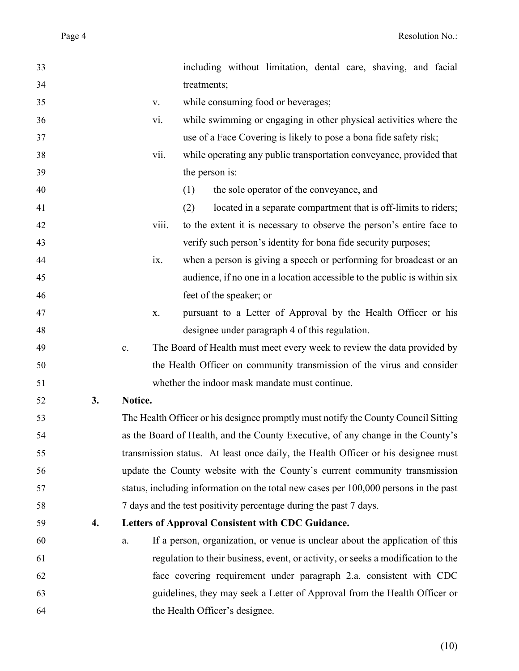| 33 |    |         |       | including without limitation, dental care, shaving, and facial                       |
|----|----|---------|-------|--------------------------------------------------------------------------------------|
| 34 |    |         |       | treatments;                                                                          |
| 35 |    |         | V.    | while consuming food or beverages;                                                   |
| 36 |    |         | vi.   | while swimming or engaging in other physical activities where the                    |
| 37 |    |         |       | use of a Face Covering is likely to pose a bona fide safety risk;                    |
| 38 |    |         | vii.  | while operating any public transportation conveyance, provided that                  |
| 39 |    |         |       | the person is:                                                                       |
| 40 |    |         |       | the sole operator of the conveyance, and<br>(1)                                      |
| 41 |    |         |       | (2)<br>located in a separate compartment that is off-limits to riders;               |
| 42 |    |         | viii. | to the extent it is necessary to observe the person's entire face to                 |
| 43 |    |         |       | verify such person's identity for bona fide security purposes;                       |
| 44 |    |         | ix.   | when a person is giving a speech or performing for broadcast or an                   |
| 45 |    |         |       | audience, if no one in a location accessible to the public is within six             |
| 46 |    |         |       | feet of the speaker; or                                                              |
| 47 |    |         | X.    | pursuant to a Letter of Approval by the Health Officer or his                        |
| 48 |    |         |       | designee under paragraph 4 of this regulation.                                       |
| 49 |    | c.      |       | The Board of Health must meet every week to review the data provided by              |
| 50 |    |         |       | the Health Officer on community transmission of the virus and consider               |
| 51 |    |         |       | whether the indoor mask mandate must continue.                                       |
| 52 | 3. | Notice. |       |                                                                                      |
| 53 |    |         |       | The Health Officer or his designee promptly must notify the County Council Sitting   |
| 54 |    |         |       | as the Board of Health, and the County Executive, of any change in the County's      |
| 55 |    |         |       | transmission status. At least once daily, the Health Officer or his designee must    |
| 56 |    |         |       | update the County website with the County's current community transmission           |
| 57 |    |         |       | status, including information on the total new cases per 100,000 persons in the past |
| 58 |    |         |       | 7 days and the test positivity percentage during the past 7 days.                    |
| 59 | 4. |         |       | Letters of Approval Consistent with CDC Guidance.                                    |
| 60 |    | a.      |       | If a person, organization, or venue is unclear about the application of this         |
| 61 |    |         |       | regulation to their business, event, or activity, or seeks a modification to the     |
| 62 |    |         |       | face covering requirement under paragraph 2.a. consistent with CDC                   |
| 63 |    |         |       | guidelines, they may seek a Letter of Approval from the Health Officer or            |
| 64 |    |         |       | the Health Officer's designee.                                                       |